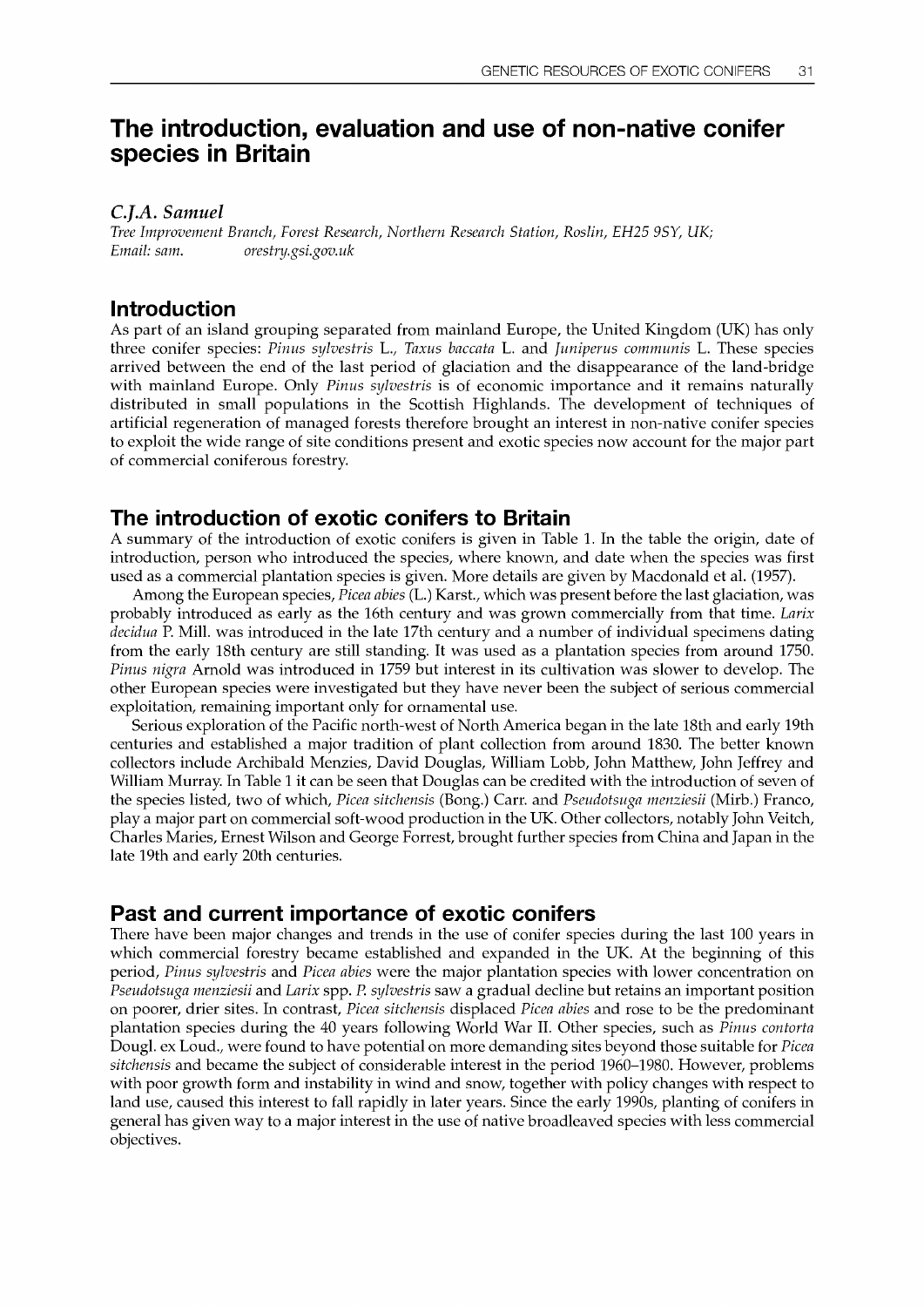# The introduction, evaluation and use of non-native conifer species in Britain

C.I.A. Samuel

Tree Improvement Branch, Forest Research, Northern Research Station, Roslin, EH25 9SY, UK; Email: sam. orestry.gsi.gov.uk

#### Introduction

As part of an island grouping separated from mainland Europe, the United Kingdom (UK) has only three conifer species: Pinus sylvestris L., Taxus baccata L. and Juniperus communis L. These species arrived between the end of the last period of glaciation and the disappearance of the land-bridge with mainland Europe. Only Pinus sylvestris is of economic importance and it remains naturally distributed in small populations in the Scottish Highlands. The development of techniques of artificial regeneration of managed forests therefore brought an interest in non-native conifer species to exploit the wide range of site conditions present and exotic species now account for the major part of commercial coniferous forestry.

#### The introduction of exotic conifers to Britain

A summary of the introduction of exotic conifers is given in Table 1. In the table the origin, date of introduction, person who introduced the species, where known, and date when the species was first used as a commercial plantation species is given. More details are given by Macdonald et al. (1957).

Among the European species, Picea abies (L.) Karst., which was present before the last glaciation, was probably introduced as early as the 16th century and was grown commercially from that time. Larix decidua P. Mill. was introduced in the late 17th century and a number of individual specimens dating from the early 18th century are still standing. It was used as a plantation species from around 1750. Pinus nigra Arnold was introduced in 1759 but interest in its cultivation was slower to develop. The other European species were investigated but they have never been the subject of serious commercial exploitation, remaining important only for ornamental use.

Serious exploration of the Pacific north-west of North America began in the late 18th and early 19th centuries and established a major tradition of plant collection from around 1830. The better known collectors include Archibald Menzies, David Douglas, William Lobb, John Matthew, John Jeffrey and William Murray. In Table 1 it can be seen that Douglas can be credited with the introduction of seven of the species listed, two of which, Picea sitchensis (Bong.) Carr. and Pseudotsuga menziesii (Mirb.) Franco, play a major part on commercial soft-wood production in the UK. Other collectors, notably John Veitch, Charles Maries, Ernest Wilson and George Forrest, brought further species from China and Japan in the late 19th and early 20th centuries.

# Past and current importance of exotic conifers

There have been major changes and trends in the use of conifer species during the last 100 years in which commercial forestry became established and expanded in the UK. At the beginning of this period, Pinus sylvestris and Picea abies were the major plantation species with lower concentration on Pseudotsuga menziesii and Larix spp. P. sylvestris saw a gradual decline but retains an important position on poorer, drier sites. In contrast, Picea sitchensis displaced Picea abies and rose to be the predominant plantation species during the 40 years following World War II. Other species, such as Pinus contorta Dougl. ex Loud., were found to have potential on more demanding sites beyond those suitable for *Picea* sitchensis and became the subject of considerable interest in the period 1960-1980. However, problems with poor growth form and instability in wind and snow, together with policy changes with respect to land use, caused this interest to fall rapidly in later years. Since the early 1990s, planting of conifers in general has given way to a major interest in the use of native broadleaved species with less commercial objectives.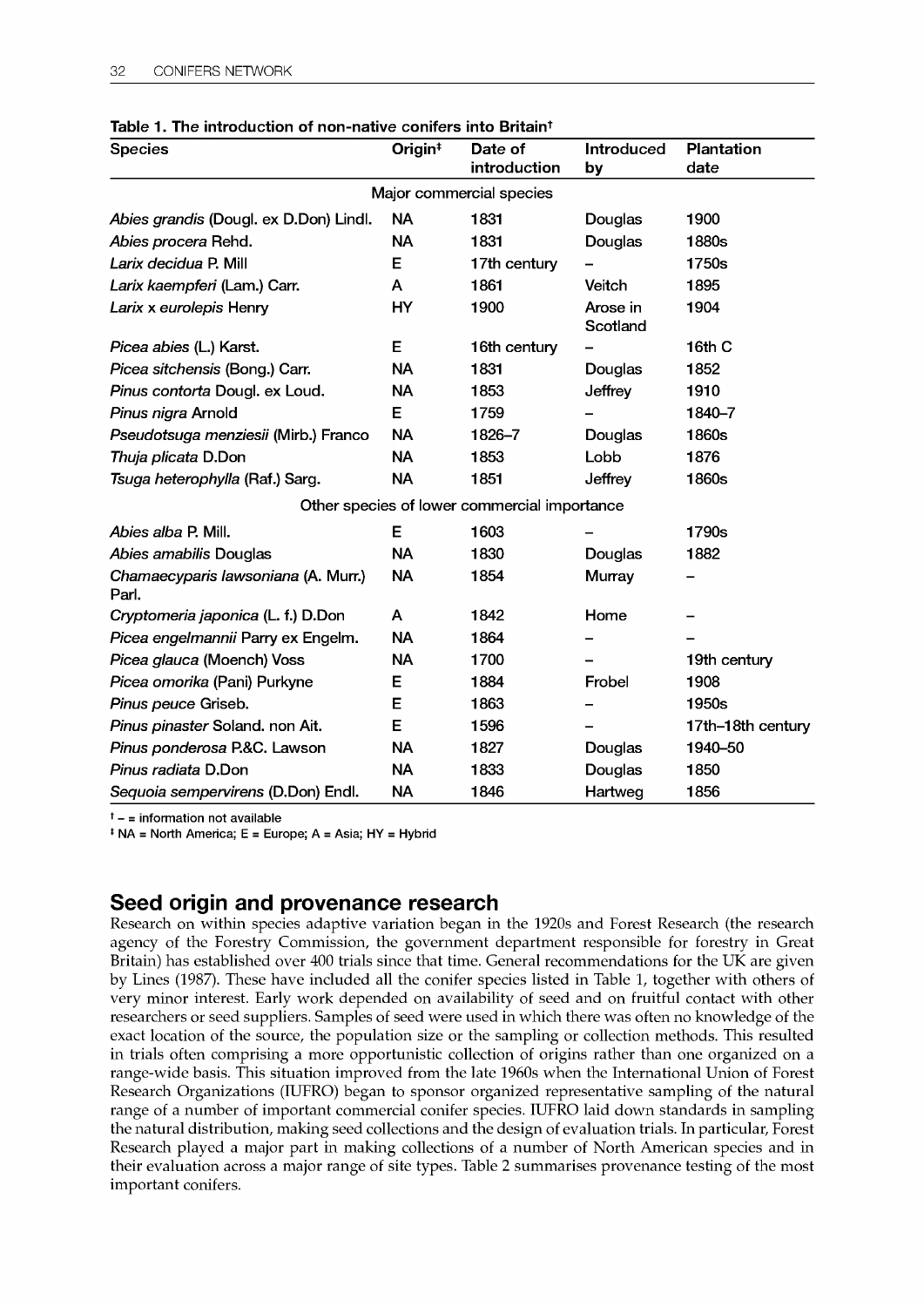| <b>Species</b>                               | Origin <sup>#</sup> | Date of<br>introduction                      | Introduced<br>by     | Plantation<br>date |
|----------------------------------------------|---------------------|----------------------------------------------|----------------------|--------------------|
|                                              |                     | Major commercial species                     |                      |                    |
| Abies grandis (Dougl. ex D.Don) Lindl.       | <b>NA</b>           | 1831                                         | Douglas              | 1900               |
| Abies procera Rehd.                          | <b>NA</b>           | 1831                                         | Douglas              | 1880s              |
| Larix decidua P. Mill                        | E                   | 17th century                                 |                      | 1750s              |
| Larix kaempferi (Lam.) Carr.                 | A                   | 1861                                         | Veitch               | 1895               |
| Larix x eurolepis Henry                      | <b>HY</b>           | 1900                                         | Arose in<br>Scotland | 1904               |
| Picea abies (L.) Karst.                      | Е                   | 16th century                                 |                      | 16th C             |
| Picea sitchensis (Bong.) Carr.               | <b>NA</b>           | 1831                                         | Douglas              | 1852               |
| Pinus contorta Dougl. ex Loud.               | <b>NA</b>           | 1853                                         | Jeffrey              | 1910               |
| Pinus nigra Arnold                           | Е                   | 1759                                         |                      | 1840-7             |
| Pseudotsuga menziesii (Mirb.) Franco         | <b>NA</b>           | 1826-7                                       | Douglas              | 1860s              |
| Thuja plicata D.Don                          | <b>NA</b>           | 1853                                         | Lobb                 | 1876               |
| Tsuga heterophylla (Raf.) Sarg.              | <b>NA</b>           | 1851                                         | <b>Jeffrey</b>       | 1860s              |
|                                              |                     | Other species of lower commercial importance |                      |                    |
| Abies alba P. Mill.                          | E                   | 1603                                         |                      | 1790s              |
| Abies amabilis Douglas                       | <b>NA</b>           | 1830                                         | Douglas              | 1882               |
| Chamaecyparis lawsoniana (A. Murr.)<br>Parl. | <b>NA</b>           | 1854                                         | Murray               |                    |
| Cryptomeria japonica (L. f.) D.Don           | A                   | 1842                                         | Home                 |                    |
| Picea engelmannii Parry ex Engelm.           | <b>NA</b>           | 1864                                         |                      |                    |
| Picea glauca (Moench) Voss                   | <b>NA</b>           | 1700                                         |                      | 19th century       |
| Picea omorika (Pani) Purkyne                 | Е                   | 1884                                         | Frobel               | 1908               |
| Pinus peuce Griseb.                          | E                   | 1863                                         |                      | 1950s              |
| Pinus pinaster Soland. non Ait.              | E                   | 1596                                         |                      | 17th-18th century  |
| Pinus ponderosa P.&C. Lawson                 | <b>NA</b>           | 1827                                         | Douglas              | 1940-50            |
| <i>Pinus radiata</i> D.Don                   | <b>NA</b>           | 1833                                         | Douglas              | 1850               |
| Sequoia sempervirens (D.Don) Endl.           | <b>NA</b>           | 1846                                         | Hartweg              | 1856               |

#### Table 1. The introduction of non-native conifers into Britaint

 $<sup>†</sup>$  - = information not available</sup>

 $*$  NA = North America; E = Europe; A = Asia; HY = Hybrid

# Seed origin and provenance research

Research on within species adaptive variation began in the 1920s and Forest Research (the research agency of the Forestry Commission, the government department responsible for forestry in Great Britain) has established over 400 trials since that time. General recommendations for the UK are given by Lines (1987). These have included all the conifer species listed in Table 1, together with others of very minor interest. Early work depended on availability of seed and on fruitful contact with other researchers or seed suppliers. Samples of seed were used in which there was often no knowledge of the exact location of the source, the population size or the sampling or collection methods. This resulted in trials often comprising a more opportunistic collection of origins rather than one organized on a range-wide basis. This situation improved from the late 1960s when the International Union of Forest Research Organizations (IUFRO) began to sponsor organized representative sampling of the natural range of a number of important commercial conifer species. IUFRO laid down standards in sampling the natural distribution, making seed collections and the design of evaluation trials. In particular, Forest Research played a major part in making collections of a number of North American species and in their evaluation across a major range of site types. Table 2 summarises provenance testing of the most important conifers.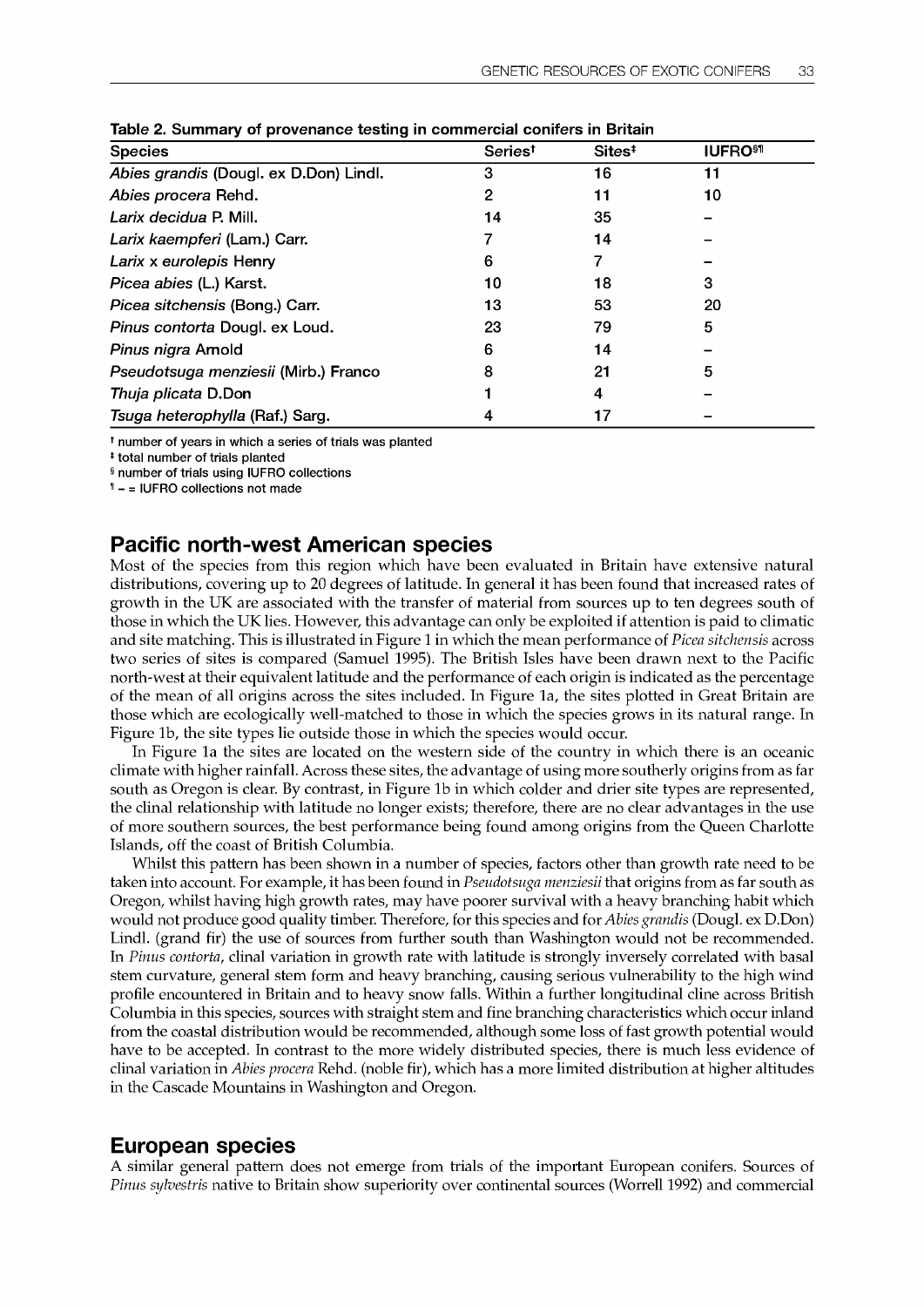| <b>Species</b>                         | Series <sup>t</sup> | Sites <sup>#</sup> | <b>IUFRO<sup>\$1</sup></b> |
|----------------------------------------|---------------------|--------------------|----------------------------|
| Abies grandis (Dougl. ex D.Don) Lindl. | 3                   | 16                 | 11                         |
| Abies procera Rehd.                    | 2                   | 11                 | 10                         |
| Larix decidua P. Mill.                 | 14                  | 35                 |                            |
| Larix kaempferi (Lam.) Carr.           |                     | 14                 |                            |
| Larix x eurolepis Henry                | 6                   |                    |                            |
| Picea abies (L.) Karst.                | 10                  | 18                 | 3                          |
| Picea sitchensis (Bong.) Carr.         | 13                  | 53                 | 20                         |
| Pinus contorta Dougl. ex Loud.         | 23                  | 79                 | 5                          |
| Pinus nigra Arnold                     | 6                   | 14                 |                            |
| Pseudotsuga menziesii (Mirb.) Franco   | 8                   | 21                 | 5                          |
| Thuja plicata D.Don                    |                     |                    |                            |
| Tsuga heterophylla (Raf.) Sarg.        |                     |                    |                            |

Table 2. Summary of provenance testing in commercial conifers in Britain

t number of years in which a series of trials was planted

t total number of trials planted

§ number of trials using IUFRO collections

 $<sup>1</sup>$  - = IUFRO collections not made</sup>

#### Pacific north-west American species

Most of the species from this region which have been evaluated in Britain have extensive natural distributions, covering up to 20 degrees of latitude. In general it has been found that increased rates of growth in the UK are associated with the transfer of material from sources up to ten degrees south of those in which the UK lies. However, this advantage can only be exploited if attention is paid to climatic and site matching. This is illustrated in Figure 1 in which the mean performance of *Picea sitchensis* across two series of sites is compared (Samuel 1995). The British Isles have been drawn next to the Pacific north-west at their equivalent latitude and the performance of each origin is indicated as the percentage of the mean of all origins across the sites included. In Figure la, the sites plotted in Great Britain are those which are ecologically well-matched to those in which the species grows in its natural range. In Figure lb, the site types lie outside those in which the species would occur.

In Figure la the sites are located on the western side of the country in which there is an oceanic climate with higher rainfall. Across these sites, the advantage of using more southerly origins from as far south as Oregon is clear. By contrast, in Figure lb in which colder and drier site types are represented, the clinal relationship with latitude no longer exists; therefore, there are no clear advantages in the use of more southern sources, the best performance being found among origins from the Queen Charlotte Islands, off the coast of British Columbia.

Whilst this pattern has been shown in a number of species, factors other than growth rate need to be taken into account. For example, it has been found in *Pseudotsuga menziesii* that origins from as far south as Oregon, whilst having high growth rates, may have poorer survival with a heavy branching habit which would not produce good quality timber. Therefore, for this species and for *Abies grandis* (Dougl. ex D.Don) Lindl. (grand fir) the use of sources from further south than Washington would not be recommended. In Pinus contorta, clinal variation in growth rate with latitude is strongly inversely correlated with basal stem curvature, general stem form and heavy branching, causing serious vulnerability to the high wind profile encountered in Britain and to heavy snow falls. Within a further longitudinal dine across British Columbia in this species, sources with straight stem and fine branching characteristics which occur inland from the coastal distribution would be recommended, although some loss of fast growth potential would have to be accepted. In contrast to the more widely distributed species, there is much less evidence of clinal variation in Abies procera Rehd. (noble fir), which has a more limited distribution at higher altitudes in the Cascade Mountains in Washington and Oregon.

# European species

A similar general pattern does not emerge from trials of the important European conifers. Sources of Pinus sylvestris native to Britain show superiority over continental sources (Worrell 1992) and commercial